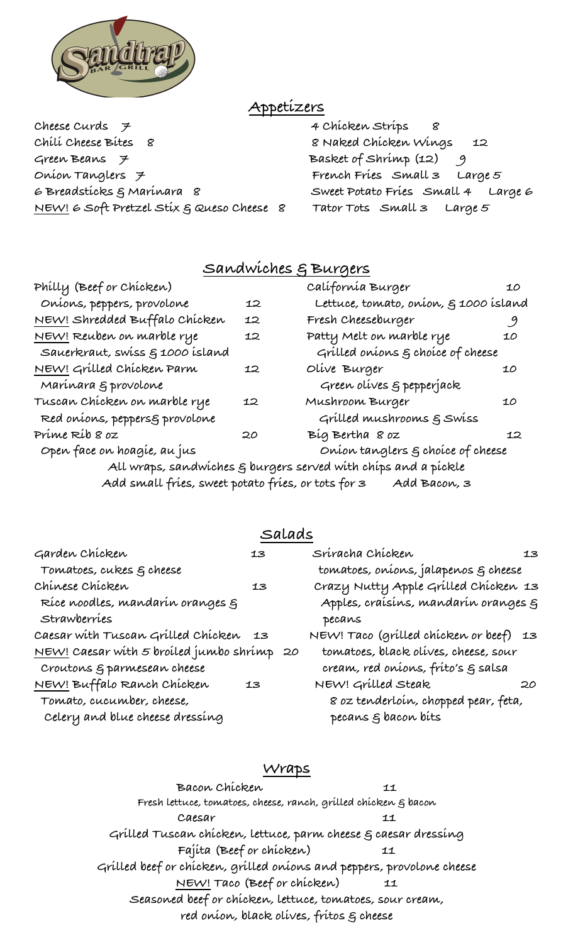

# **Appetizers**

**Cheese Curds 7 4 Chicken Strips 8 Chili Cheese Bites 8 8 Naked Chicken Wings 12**  Green Beans 7 **Basket of Shrimp (12) Onion Tanglers 7 French Fries Small 3 Large 5 6 Breadsticks & Marinara 8 Sweet Potato Fries Small 4 Large 6 NEW! 6 Soft Pretzel Stix & Queso Cheese 8 Tator Tots Small 3 Large 5**

## **Sandwiches & Burgers**

| Philly (Beef or Chicken)                           |    | Calífornía Burger                                                          | 10 |
|----------------------------------------------------|----|----------------------------------------------------------------------------|----|
| Oníons, peppers, provolone                         | 12 | Lettuce, tomato, oníon, § 1000 ísland                                      |    |
| <u>NEW!</u> Shredded Buffalo Chicken               | 12 | Fresh Cheeseburger                                                         | 9  |
| <u>NEW!</u> Reuben on marble rye                   | 12 | Patty Melt on marble rye                                                   | 10 |
| Sauerkraut, swiss § 1000 island                    |    | Grilled onions $\varepsilon$ choice of cheese                              |    |
| NEW! Grilled Chicken Parm                          | 12 | Olive Burger                                                               | 10 |
| Marínara § provolone                               |    | Green olives & pepperjack                                                  |    |
| Tuscan Chícken on marble rye                       | 12 | Mushroom Burger                                                            | 10 |
| Red onions, peppersg provolone                     |    | Grilled mushrooms g Swiss                                                  |    |
| Príme Ríb 8 oz                                     | 20 | Bíg Bertha 8 oz                                                            | 12 |
| Open face on hoagie, au jus                        |    | Onion tanglers $\xi$ choice of cheese                                      |    |
|                                                    |    | All wraps, sandwiches $\varepsilon$ burgers served with chips and a pickle |    |
| Add small fries, sweet potato fries, or tots for 3 |    | Add Bacon, 3                                                               |    |

### **Salads**

| Garden Chicken                             | 13 | Sríracha Chícken                       | 13 |
|--------------------------------------------|----|----------------------------------------|----|
| Tomatoes, cukes & cheese                   |    | tomatoes, oníons, jalapenos g cheese   |    |
| Chinese Chicken                            | 13 | Crazy Nutty Apple Grilled Chicken 13   |    |
| Ríce noodles, mandarín oranges g           |    | Apples, craísins, mandarin oranges g   |    |
| Strawberries                               |    | pecans                                 |    |
| Caesar with Tuscan Grilled Chicken         | 13 | NEW! Taco (grilled chicken or beef) 13 |    |
| NEW! Caesar with 5 broiled jumbo shrimp 20 |    | tomatoes, black olives, cheese, sour   |    |
| Croutons & parmesean cheese                |    | cream, red oníons, fríto's g salsa     |    |
| NEW! Buffalo Ranch Chicken                 | 13 | NEW! Grilled Steak                     | 20 |
| Tomato, cucumber, cheese,                  |    | 8 oz tenderloín, chopped pear, feta,   |    |
| Celery and blue cheese dressing            |    | pecans g bacon bits                    |    |

### **Wraps**

**Bacon Chicken 11 Fresh lettuce, tomatoes, cheese, ranch, grilled chicken & bacon Caesar 11 Grilled Tuscan chicken, lettuce, parm cheese & caesar dressing Fajita (Beef or chicken) 11 Grilled beef or chicken, grilled onions and peppers, provolone cheese NEW! Taco (Beef or chicken) 11 Seasoned beef or chicken, lettuce, tomatoes, sour cream, red onion, black olives, fritos & cheese**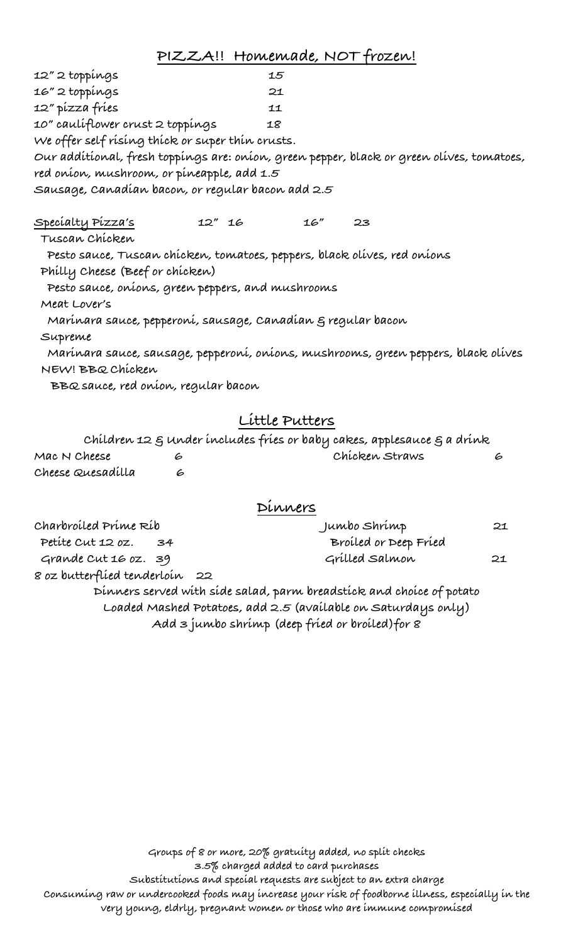**PIZZA!! Homemade, NOT frozen!**

**12" 2 toppings 15 16" 2 toppings 21 12" pizza fries 11 10" cauliflower crust 2 toppings 18 We offer self rising thick or super thin crusts. Our additional, fresh toppings are: onion, green pepper, black or green olives, tomatoes, red onion, mushroom, or pineapple, add 1.5 Sausage, Canadian bacon, or regular bacon add 2.5 Specialty Pizza's 12" 16 16" 23 Tuscan Chicken Pesto sauce, Tuscan chicken, tomatoes, peppers, black olives, red onions Philly Cheese (Beef or chicken) Pesto sauce, onions, green peppers, and mushrooms Meat Lover's Marinara sauce, pepperoni, sausage, Canadian & regular bacon Supreme Marinara sauce, sausage, pepperoni, onions, mushrooms, green peppers, black olives NEW! BBQ Chicken BBQ sauce, red onion, regular bacon Little Putters Children 12 & Under includes fries or baby cakes, applesauce & a drink Mac N Cheese 6 Chicken Straws 6**

|                   | <u>evening and O concern momentum frames is already in between one</u> O in married |  |
|-------------------|-------------------------------------------------------------------------------------|--|
| Mac N Cheese      | Chicken Straws                                                                      |  |
| Cheese Quesadilla |                                                                                     |  |

#### **Dinners**

| Charbroiled Prime Rib          |  | Jumbo Shrímp                                                         |    |
|--------------------------------|--|----------------------------------------------------------------------|----|
| Petite Cut 12 oz. 34           |  | Broiled or Deep Fried                                                |    |
| Grande Cut 16 oz. 39           |  | Grilled Salmon                                                       | 21 |
| 8 oz butterflíed tenderloín 22 |  |                                                                      |    |
|                                |  | Dinners served with side salad, parm breadstick and choice of potato |    |
|                                |  | Loaded Mashed Potatoes, add 2.5 (available on Saturdays only)        |    |
|                                |  | Add 3 jumbo shrimp (deep fried or broiled) for 8                     |    |